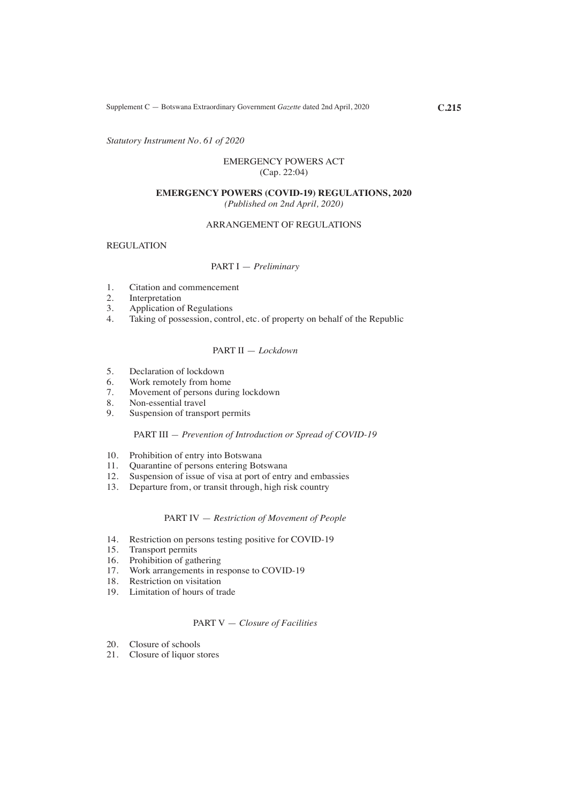Supplement C — Botswana Extraordinary Government *Gazette* dated 2nd April, 2020 **C.215**

*Statutory Instrument No. 61 of 2020*

#### EMERGENCY POWERS ACT (Cap. 22:04)

#### **EMERGENCY POWERS (COVID-19) REGULATIONS, 2020** *(Published on 2nd April, 2020)*

# ARRANGEMENT OF REGULATIONS

#### REGULATION

### PART I — *Preliminary*

- 1. Citation and commencement<br>2. Interpretation
- 2. Interpretation<br>3. Application of
- 3. Application of Regulations<br>4. Taking of possession, contra
- Taking of possession, control, etc. of property on behalf of the Republic

## PART II — *Lockdown*

- 5. Declaration of lockdown<br>6. Work remotely from hom
- 6. Work remotely from home<br>7. Movement of persons during
- 7. Movement of persons during lockdown<br>8. Non-essential travel
- 8. Non-essential travel<br>9. Suspension of transr
- Suspension of transport permits

### PART III *— Prevention of Introduction or Spread of COVID-19*

- 10. Prohibition of entry into Botswana
- 11. Quarantine of persons entering Botswana
- 12. Suspension of issue of visa at port of entry and embassies
- 13. Departure from, or transit through, high risk country

## PART IV — *Restriction of Movement of People*

- 14. Restriction on persons testing positive for COVID-19
- 15. Transport permits
- 16. Prohibition of gathering
- 17. Work arrangements in response to COVID-19
- 18. Restriction on visitation
- 19. Limitation of hours of trade

#### PART V — *Closure of Facilities*

- 20. Closure of schools
- 21. Closure of liquor stores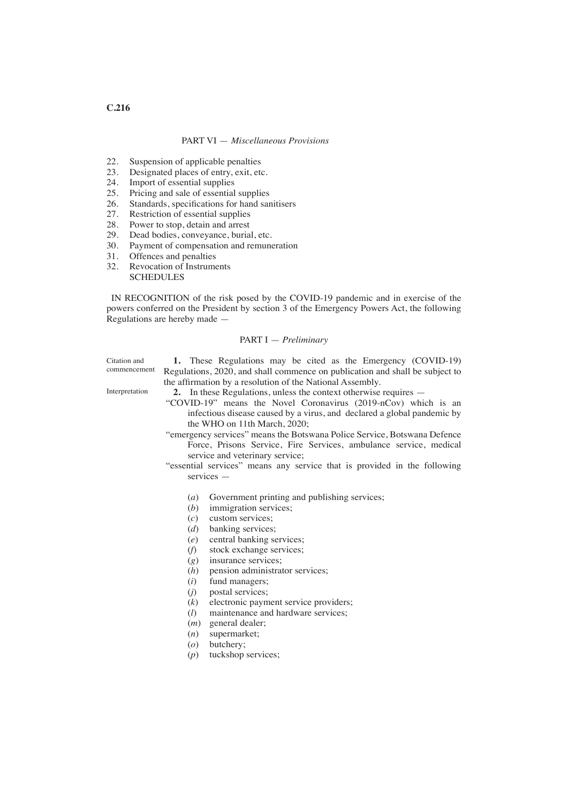#### PART VI — *Miscellaneous Provisions*

- 22. Suspension of applicable penalties<br>23. Designated places of entry, exit, etc
- 23. Designated places of entry, exit, etc.<br>24. Import of essential supplies
- 24. Import of essential supplies<br>25. Pricing and sale of essential
- 25. Pricing and sale of essential supplies<br>26. Standards, specifications for hand sar
- 26. Standards, specifications for hand sanitisers 27. Restriction of essential supplies
- Restriction of essential supplies
- 28. Power to stop, detain and arrest
- 29. Dead bodies, conveyance, burial, etc.
- 30. Payment of compensation and remuneration
- 31. Offences and penalties
- 32. Revocation of Instruments **SCHEDULES**

IN RECOGNITION of the risk posed by the COVID-19 pandemic and in exercise of the powers conferred on the President by section 3 of the Emergency Powers Act, the following Regulations are hereby made —

#### PART I — *Preliminary*

Citation and commencement

**1.** These Regulations may be cited as the Emergency (COVID-19) Regulations, 2020, and shall commence on publication and shall be subject to the affirmation by a resolution of the National Assembly.

Interpretation

- **2.** In these Regulations, unless the context otherwise requires —
- "COVID-19" means the Novel Coronavirus (2019-nCov) which is an infectious disease caused by a virus, and declared a global pandemic by the WHO on 11th March, 2020;
- "emergency services" means the Botswana Police Service, Botswana Defence Force, Prisons Service, Fire Services, ambulance service, medical service and veterinary service;
- "essential services" means any service that is provided in the following services —
	- (*a*) Government printing and publishing services;
	- (*b*) immigration services;
	- (*c*) custom services;
	- (*d*) banking services;
	- (*e*) central banking services;
	- (*f*) stock exchange services;
	- (*g*) insurance services;
	- (*h*) pension administrator services;
	- (*i*) fund managers;
	- (*j*) postal services;
	-
	- (*k*) electronic payment service providers;<br>(*l*) maintenance and hardware services; maintenance and hardware services;
	- (*m*) general dealer;
	- (*n*) supermarket;
	- (*o*) butchery;
	- (*p*) tuckshop services;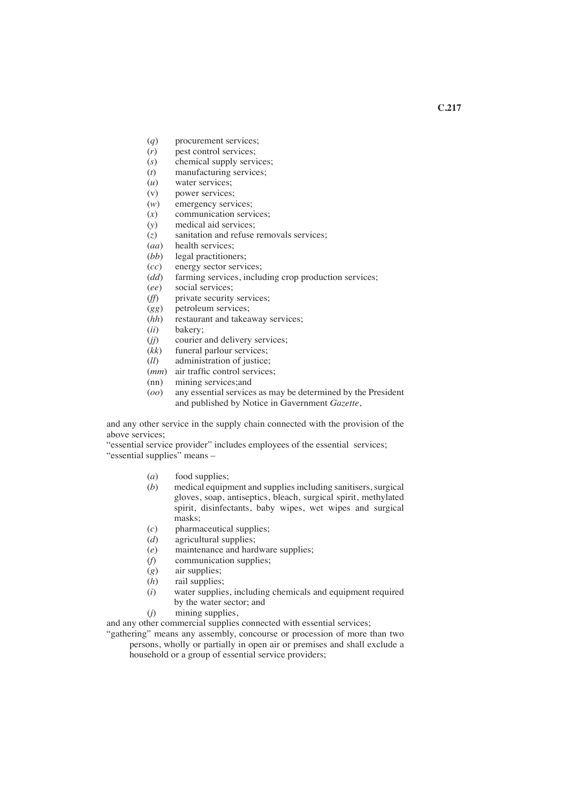- (*q*) procurement services;
- $(r)$  pest control services;<br>(*s*) chemical supply servi
- (*s*) chemical supply services;<br>(*t*) manufacturing services;
- (*t*) manufacturing services;<br>(*u*) water services;
- (*u*) water services;<br>(*v*) power services
- (v) power services;<br>(w) emergency serv
- (*w*) emergency services;<br>(*x*) communication servi-
- (*x*) communication services;<br>(*y*) medical aid services;
- medical aid services:
- (*z*) sanitation and refuse removals services;
- (*aa*) health services;<br>(*bb*) legal practitione
- legal practitioners;
- (*cc*) energy sector services;<br>(*dd*) farming services, include
- (*dd*) farming services, including crop production services;<br>(*ee*) social services:
- (*ee*) social services;<br>(*ff*) private security
- (*ff*) private security services;<br>(*gg*) petroleum services;
- (*gg*) petroleum services;<br>(*hh*) restaurant and takea
- (*hh*) restaurant and takeaway services;<br>(*ii*) bakery;
- 
- (*ii*) bakery; (*ij*) courier and delivery services;<br>(*kk*) funeral parlour services:
- funeral parlour services:
- (*ll*) administration of justice;
- (*mm*) air traffic control services;
- (nn) mining services;and
- (*oo*) any essential services as may be determined by the President and published by Notice in Gavernment *Gazette*,

and any other service in the supply chain connected with the provision of the above services;

"essential service provider" includes employees of the essential services; "essential supplies" means –

- (*a*) food supplies;
- (*b*) medical equipment and supplies including sanitisers, surgical gloves, soap, antiseptics, bleach, surgical spirit, methylated spirit, disinfectants, baby wipes, wet wipes and surgical masks;
- (*c*) pharmaceutical supplies;
- (*d*) agricultural supplies;
- (*e*) maintenance and hardware supplies;
- communication supplies;
- (*g*) air supplies;
- (*h*) rail supplies;<br>(*i*) water supplies
- water supplies, including chemicals and equipment required by the water sector; and
- (*j*) mining supplies,

and any other commercial supplies connected with essential services;

"gathering" means any assembly, concourse or procession of more than two persons, wholly or partially in open air or premises and shall exclude a

household or a group of essential service providers;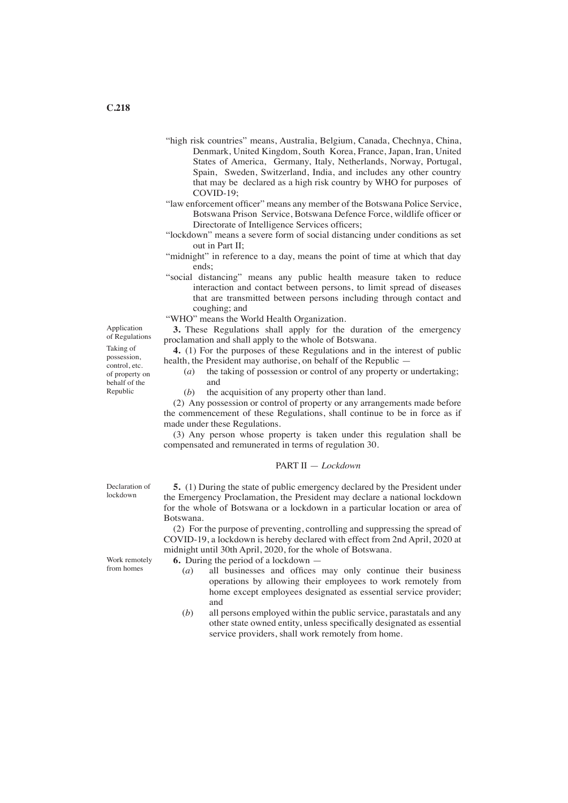- "high risk countries" means, Australia, Belgium, Canada, Chechnya, China, Denmark, United Kingdom, South Korea, France, Japan, Iran, United States of America, Germany, Italy, Netherlands, Norway, Portugal, Spain, Sweden, Switzerland, India, and includes any other country that may be declared as a high risk country by WHO for purposes of COVID-19;
- "law enforcement officer" means any member of the Botswana Police Service, Botswana Prison Service, Botswana Defence Force, wildlife officer or Directorate of Intelligence Services officers;
- "lockdown" means a severe form of social distancing under conditions as set out in Part II;
- "midnight" in reference to a day, means the point of time at which that day ends;
- "social distancing" means any public health measure taken to reduce interaction and contact between persons, to limit spread of diseases that are transmitted between persons including through contact and coughing; and
- "WHO" means the World Health Organization.

**3.** These Regulations shall apply for the duration of the emergency proclamation and shall apply to the whole of Botswana.

**4.** (1) For the purposes of these Regulations and in the interest of public health, the President may authorise, on behalf of the Republic —

- (*a*) the taking of possession or control of any property or undertaking; and
- (*b*) the acquisition of any property other than land.

(2) Any possession or control of property or any arrangements made before the commencement of these Regulations, shall continue to be in force as if made under these Regulations.

(3) Any person whose property is taken under this regulation shall be compensated and remunerated in terms of regulation 30.

#### PART II — *Lockdown*

Declaration of lockdown

**5.** (1) During the state of public emergency declared by the President under the Emergency Proclamation, the President may declare a national lockdown for the whole of Botswana or a lockdown in a particular location or area of Botswana.

(2) For the purpose of preventing, controlling and suppressing the spread of COVID-19, a lockdown is hereby declared with effect from 2nd April, 2020 at midnight until 30th April, 2020, for the whole of Botswana.

**6.** During the period of a lockdown —

- (*a*) all businesses and offices may only continue their business operations by allowing their employees to work remotely from home except employees designated as essential service provider; and
- (*b*) all persons employed within the public service, parastatals and any other state owned entity, unless specifically designated as essential service providers, shall work remotely from home.

Application of Regulations Taking of possession, control, etc. of property on behalf of the Republic

Work remotely from homes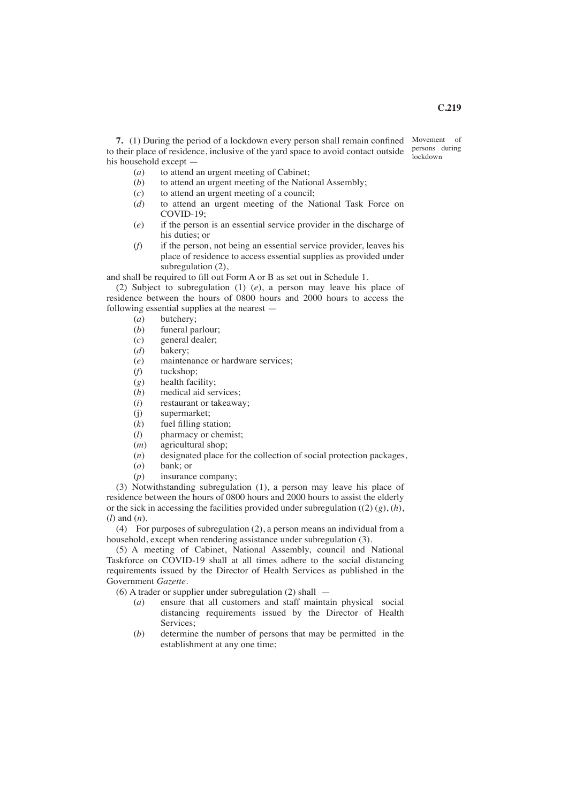his household except —

- (*a*) to attend an urgent meeting of Cabinet;<br>(*b*) to attend an urgent meeting of the Natio (*b*) to attend an urgent meeting of the National Assembly;<br>(*c*) to attend an urgent meeting of a council:
- to attend an urgent meeting of a council;
- (*d*) to attend an urgent meeting of the National Task Force on COVID-19;
- (*e*) if the person is an essential service provider in the discharge of his duties; or
- (*f*) if the person, not being an essential service provider, leaves his place of residence to access essential supplies as provided under subregulation (2),

and shall be required to fill out Form A or B as set out in Schedule 1.

(2) Subject to subregulation (1) (*e*), a person may leave his place of residence between the hours of 0800 hours and 2000 hours to access the following essential supplies at the nearest —  $(a)$  butcherv:

- (*a*) butchery;<br>(*b*) funeral pa
- funeral parlour;
- (*c*) general dealer;
- bakery:
- (*e*) maintenance or hardware services;
- (*f*) tuckshop;
- (*g*) health facility;
- (*h*) medical aid services;
- (*i*) restaurant or takeaway;<br>(*i*) supermarket;
- (j) supermarket;<br>(k) fuel filling sta
- $(k)$  fuel filling station;<br>(*l*) pharmacy or chem
- (*l*) pharmacy or chemist;<br>(*m*) agricultural shop:
- agricultural shop:
- (*n*) designated place for the collection of social protection packages,
- (*o*) bank; or
- (*p*) insurance company;

(3) Notwithstanding subregulation (1), a person may leave his place of residence between the hours of 0800 hours and 2000 hours to assist the elderly or the sick in accessing the facilities provided under subregulation  $((2) (g), (h),$ (*l*) and (*n*).

(4) For purposes of subregulation (2), a person means an individual from a household, except when rendering assistance under subregulation (3).

(5) A meeting of Cabinet, National Assembly, council and National Taskforce on COVID-19 shall at all times adhere to the social distancing requirements issued by the Director of Health Services as published in the Government *Gazette*.

(6) A trader or supplier under subregulation (2) shall —

- (*a*) ensure that all customers and staff maintain physical social distancing requirements issued by the Director of Health Services;
- (*b*) determine the number of persons that may be permitted in the establishment at any one time;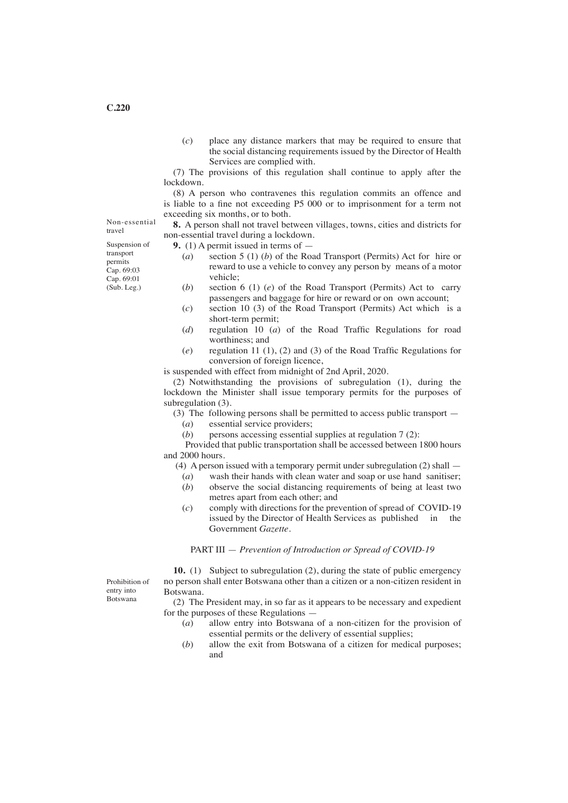(*c*) place any distance markers that may be required to ensure that the social distancing requirements issued by the Director of Health Services are complied with.

(7) The provisions of this regulation shall continue to apply after the lockdown.

(8) A person who contravenes this regulation commits an offence and is liable to a fine not exceeding P5 000 or to imprisonment for a term not exceeding six months, or to both.

**8.** A person shall not travel between villages, towns, cities and districts for non-essential travel during a lockdown.

**9.** (1) A permit issued in terms of —

- (*a*) section 5 (1) (*b*) of the Road Transport (Permits) Act for hire or reward to use a vehicle to convey any person by means of a motor vehicle;
- (*b*) section 6 (1) (*e*) of the Road Transport (Permits) Act to carry passengers and baggage for hire or reward or on own account;
- (*c*) section 10 (3) of the Road Transport (Permits) Act which is a short-term permit;
- (*d*) regulation 10 (*a*) of the Road Traffic Regulations for road worthiness; and
- (*e*) regulation 11 (1), (2) and (3) of the Road Traffic Regulations for conversion of foreign licence,

is suspended with effect from midnight of 2nd April, 2020.

(2) Notwithstanding the provisions of subregulation (1), during the lockdown the Minister shall issue temporary permits for the purposes of subregulation (3).

(3) The following persons shall be permitted to access public transport  $-$ 

(*a*) essential service providers;

(*b*) persons accessing essential supplies at regulation 7 (2):

 Provided that public transportation shall be accessed between 1800 hours and 2000 hours.

(4) A person issued with a temporary permit under subregulation (2) shall —

- (*a*) wash their hands with clean water and soap or use hand sanitiser;
	- (*b*) observe the social distancing requirements of being at least two metres apart from each other; and
	- (*c*) comply with directions for the prevention of spread of COVID-19 issued by the Director of Health Services as published in the Government *Gazette*.

PART III — *Prevention of Introduction or Spread of COVID-19*

**10.** (1) Subject to subregulation (2), during the state of public emergency no person shall enter Botswana other than a citizen or a non-citizen resident in Botswana.

(2) The President may, in so far as it appears to be necessary and expedient for the purposes of these Regulations —

- (*a*) allow entry into Botswana of a non-citizen for the provision of essential permits or the delivery of essential supplies;
- (*b*) allow the exit from Botswana of a citizen for medical purposes; and

travel Suspension of transport permits Cap. 69:03 Cap. 69:01 (Sub. Leg.)

Prohibition of entry into Botswana

Non-essential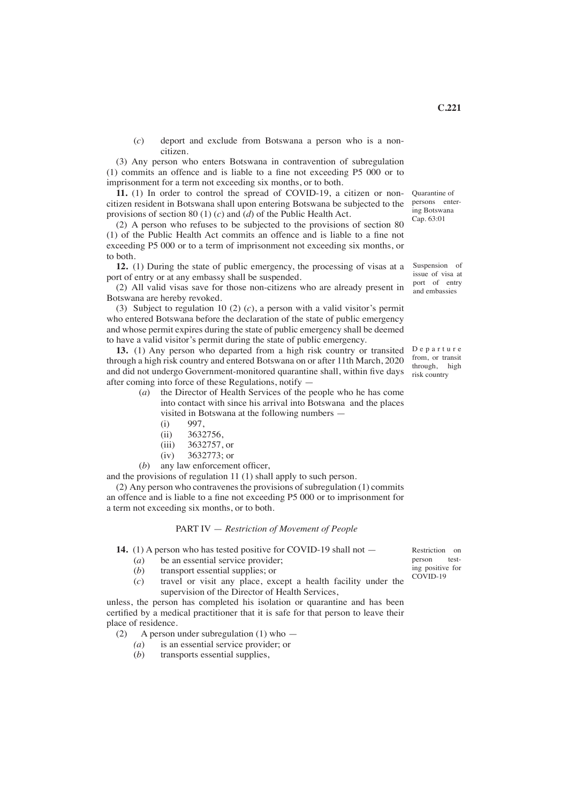(*c*) deport and exclude from Botswana a person who is a noncitizen.

(3) Any person who enters Botswana in contravention of subregulation (1) commits an offence and is liable to a fine not exceeding P5 000 or to imprisonment for a term not exceeding six months, or to both.

**11.** (1) In order to control the spread of COVID-19, a citizen or noncitizen resident in Botswana shall upon entering Botswana be subjected to the provisions of section 80 (1) (*c*) and (*d*) of the Public Health Act.

(2) A person who refuses to be subjected to the provisions of section 80 (1) of the Public Health Act commits an offence and is liable to a fine not exceeding P5 000 or to a term of imprisonment not exceeding six months, or to both.

**12.** (1) During the state of public emergency, the processing of visas at a port of entry or at any embassy shall be suspended.

(2) All valid visas save for those non-citizens who are already present in Botswana are hereby revoked.

(3) Subject to regulation 10 (2) (*c*), a person with a valid visitor's permit who entered Botswana before the declaration of the state of public emergency and whose permit expires during the state of public emergency shall be deemed to have a valid visitor's permit during the state of public emergency.

**13.** (1) Any person who departed from a high risk country or transited through a high risk country and entered Botswana on or after 11th March, 2020 and did not undergo Government-monitored quarantine shall, within five days after coming into force of these Regulations, notify —

- (*a*) the Director of Health Services of the people who he has come into contact with since his arrival into Botswana and the places visited in Botswana at the following numbers —
	- (i) 997,
	- (ii)  $3632756$ ,<br>(iii)  $3632757$ .
	- 3632757, or
	- (iv) 3632773; or

(*b*) any law enforcement officer,

and the provisions of regulation 11 (1) shall apply to such person.

(2) Any person who contravenes the provisions of subregulation (1) commits an offence and is liable to a fine not exceeding P5 000 or to imprisonment for a term not exceeding six months, or to both.

#### PART IV — *Restriction of Movement of People*

**14.** (1) A person who has tested positive for COVID-19 shall not —

- (*a*) be an essential service provider;
- (*b*) transport essential supplies; or
- (*c*) travel or visit any place, except a health facility under the supervision of the Director of Health Services,

unless, the person has completed his isolation or quarantine and has been certified by a medical practitioner that it is safe for that person to leave their place of residence.

- (2) A person under subregulation (1) who
	- *(a*) is an essential service provider; or
	- (*b*) transports essential supplies,

persons entering Botswana Cap. 63:01

Quarantine of

Suspension of issue of visa at port of entry and embassies

D e p a r t u r e from, or transit through, high risk country

Restriction on<br>nerson testperson ing positive for COVID-19

**C.221**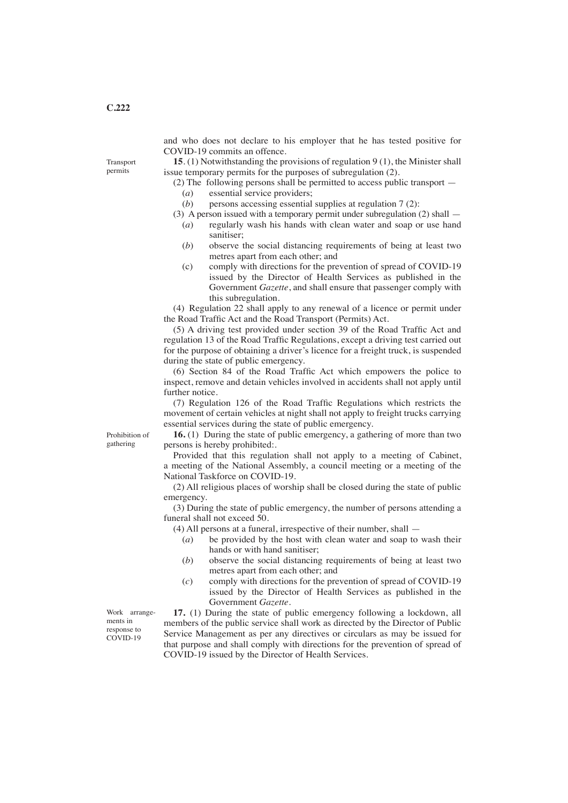and who does not declare to his employer that he has tested positive for COVID-19 commits an offence.

**15**. (1) Notwithstanding the provisions of regulation 9 (1), the Minister shall issue temporary permits for the purposes of subregulation (2).

- (2) The following persons shall be permitted to access public transport  $(a)$  essential service providers: (*a*) essential service providers;<br>(*b*) persons accessing essential
	- persons accessing essential supplies at regulation 7 (2):
- (3) A person issued with a temporary permit under subregulation (2) shall (*a*) regularly wash his hands with clean water and soap or use hand sanitiser;
	- (*b*) observe the social distancing requirements of being at least two metres apart from each other; and
	- (c) comply with directions for the prevention of spread of COVID-19 issued by the Director of Health Services as published in the Government *Gazette*, and shall ensure that passenger comply with this subregulation.

(4) Regulation 22 shall apply to any renewal of a licence or permit under the Road Traffic Act and the Road Transport (Permits) Act.

(5) A driving test provided under section 39 of the Road Traffic Act and regulation 13 of the Road Traffic Regulations, except a driving test carried out for the purpose of obtaining a driver's licence for a freight truck, is suspended during the state of public emergency.

(6) Section 84 of the Road Traffic Act which empowers the police to inspect, remove and detain vehicles involved in accidents shall not apply until further notice.

(7) Regulation 126 of the Road Traffic Regulations which restricts the movement of certain vehicles at night shall not apply to freight trucks carrying essential services during the state of public emergency.

Prohibition of gathering

**16.** (1) During the state of public emergency, a gathering of more than two persons is hereby prohibited:.

Provided that this regulation shall not apply to a meeting of Cabinet, a meeting of the National Assembly, a council meeting or a meeting of the National Taskforce on COVID-19.

(2) All religious places of worship shall be closed during the state of public emergency.

(3) During the state of public emergency, the number of persons attending a funeral shall not exceed 50.

- (4) All persons at a funeral, irrespective of their number, shall
	- (*a*) be provided by the host with clean water and soap to wash their hands or with hand sanitiser;
	- (*b*) observe the social distancing requirements of being at least two metres apart from each other; and
	- (*c*) comply with directions for the prevention of spread of COVID-19 issued by the Director of Health Services as published in the Government *Gazette*.

**17.** (1) During the state of public emergency following a lockdown, all members of the public service shall work as directed by the Director of Public Service Management as per any directives or circulars as may be issued for that purpose and shall comply with directions for the prevention of spread of COVID-19 issued by the Director of Health Services.

Work arrangements in response to COVID-19

**Transport** permits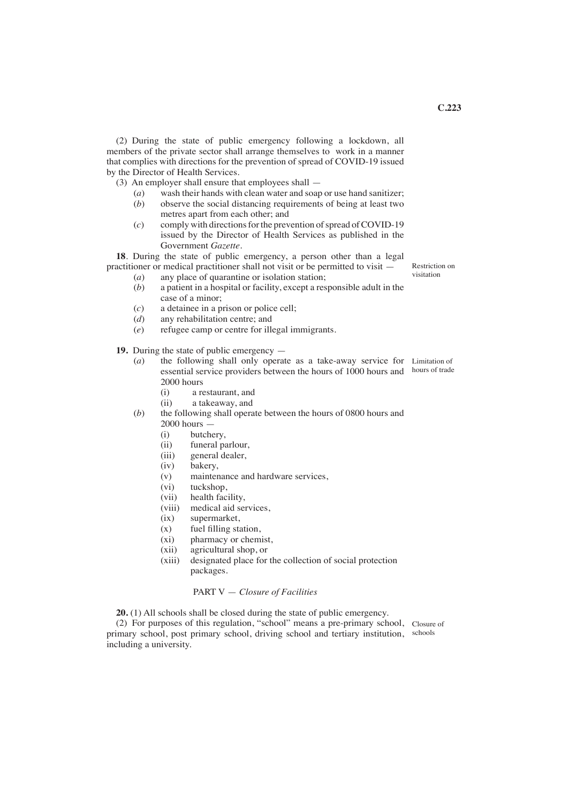(2) During the state of public emergency following a lockdown, all members of the private sector shall arrange themselves to work in a manner that complies with directions for the prevention of spread of COVID-19 issued by the Director of Health Services.

(3) An employer shall ensure that employees shall  $-$  (*a*) wash their hands with clean water and soar

- wash their hands with clean water and soap or use hand sanitizer;
- (*b*) observe the social distancing requirements of being at least two metres apart from each other; and
- (*c*) comply with directions for the prevention of spread of COVID-19 issued by the Director of Health Services as published in the Government *Gazette*.

**18**. During the state of public emergency, a person other than a legal practitioner or medical practitioner shall not visit or be permitted to visit —

- (*a*) any place of quarantine or isolation station;<br>(*b*) a patient in a hospital or facility, except a res (*b*) a patient in a hospital or facility, except a responsible adult in the case of a minor;
- (*c*) a detainee in a prison or police cell;<br>(*d*) any rehabilitation centre: and
- any rehabilitation centre; and
- (*e*) refugee camp or centre for illegal immigrants.

**19.** During the state of public emergency —

- (*a*) the following shall only operate as a take-away service for Limitation of essential service providers between the hours of 1000 hours and hours of trade 2000 hours
	- (i) a restaurant, and
	- (ii) a takeaway, and
- (*b*) the following shall operate between the hours of 0800 hours and  $2000$  hours  $-$ 
	-
	- (i) butchery,<br>(ii) funeral pay funeral parlour,
	- (iii) general dealer,
	-
	- (iv) bakery,<br>(v) mainter maintenance and hardware services,
	- (vi) tuckshop,
	- (vii) health facility,
	- (viii) medical aid services,
	- (ix) supermarket,
	- $(x)$  fuel filling station,
	- (xi) pharmacy or chemist,
	- (xii) agricultural shop, or
	- (xiii) designated place for the collection of social protection packages.

#### PART V — *Closure of Facilities*

**20.** (1) All schools shall be closed during the state of public emergency.

(2) For purposes of this regulation, "school" means a pre-primary school, Closure of primary school, post primary school, driving school and tertiary institution, schoolsincluding a university.

Restriction on visitation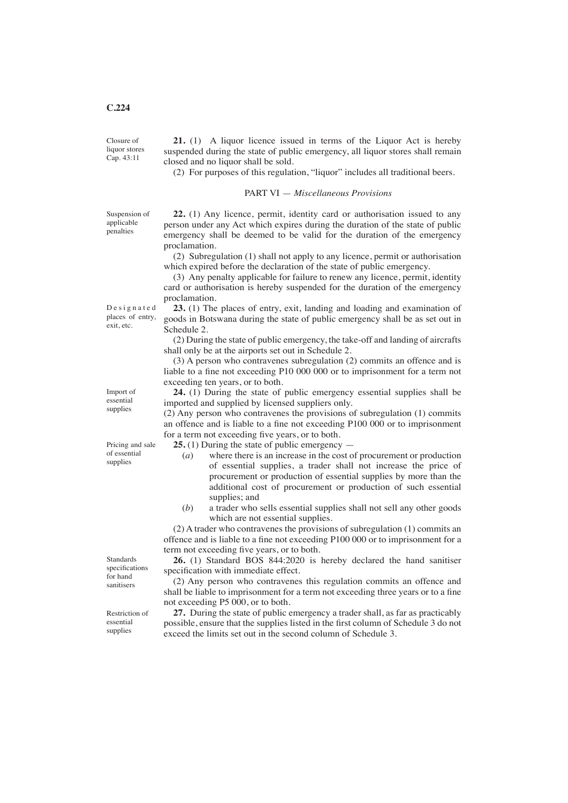Closure of liquor stores Cap. 43:11

**21.** (1) A liquor licence issued in terms of the Liquor Act is hereby suspended during the state of public emergency, all liquor stores shall remain closed and no liquor shall be sold.

(2) For purposes of this regulation, "liquor" includes all traditional beers.

#### PART VI — *Miscellaneous Provisions*

Suspension of applicable penalties

**22.** (1) Any licence, permit, identity card or authorisation issued to any person under any Act which expires during the duration of the state of public emergency shall be deemed to be valid for the duration of the emergency proclamation.

(2) Subregulation (1) shall not apply to any licence, permit or authorisation which expired before the declaration of the state of public emergency.

(3) Any penalty applicable for failure to renew any licence, permit, identity card or authorisation is hereby suspended for the duration of the emergency proclamation.

D e s i g n a t e d places of entry, exit, etc.

**23.** (1) The places of entry, exit, landing and loading and examination of goods in Botswana during the state of public emergency shall be as set out in Schedule 2.

(2) During the state of public emergency, the take-off and landing of aircrafts shall only be at the airports set out in Schedule 2.

(3) A person who contravenes subregulation (2) commits an offence and is liable to a fine not exceeding P10 000 000 or to imprisonment for a term not exceeding ten years, or to both.

**24.** (1) During the state of public emergency essential supplies shall be imported and supplied by licensed suppliers only.

(2) Any person who contravenes the provisions of subregulation (1) commits an offence and is liable to a fine not exceeding P100 000 or to imprisonment for a term not exceeding five years, or to both.

- **25.** (1) During the state of public emergency
	- (*a*) where there is an increase in the cost of procurement or production of essential supplies, a trader shall not increase the price of procurement or production of essential supplies by more than the additional cost of procurement or production of such essential supplies; and
	- (*b*) a trader who sells essential supplies shall not sell any other goods which are not essential supplies.

(2) A trader who contravenes the provisions of subregulation (1) commits an offence and is liable to a fine not exceeding P100 000 or to imprisonment for a term not exceeding five years, or to both.

**26.** (1) Standard BOS 844:2020 is hereby declared the hand sanitiser specification with immediate effect.

(2) Any person who contravenes this regulation commits an offence and shall be liable to imprisonment for a term not exceeding three years or to a fine not exceeding P5 000, or to both.

**27.** During the state of public emergency a trader shall, as far as practicably possible, ensure that the supplies listed in the first column of Schedule 3 do not exceed the limits set out in the second column of Schedule 3.

Pricing and sale of essential

Import of essential supplies

supplies

Standards specifications for hand sanitisers

Restriction of essential supplies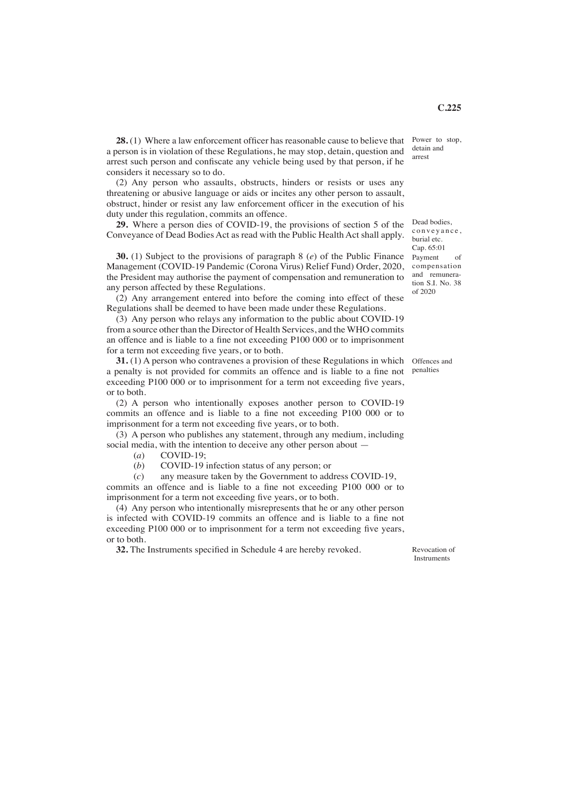detain and arrest

Dead bodies, c o n v e y a n c e , burial etc. Cap. 65:01 Payment of compensation and remuneration S.I. No. 38 of 2020

**28.** (1) Where a law enforcement officer has reasonable cause to believe that Power to stop, a person is in violation of these Regulations, he may stop, detain, question and arrest such person and confiscate any vehicle being used by that person, if he considers it necessary so to do.

(2) Any person who assaults, obstructs, hinders or resists or uses any threatening or abusive language or aids or incites any other person to assault, obstruct, hinder or resist any law enforcement officer in the execution of his duty under this regulation, commits an offence.

**29.** Where a person dies of COVID-19, the provisions of section 5 of the Conveyance of Dead Bodies Act as read with the Public Health Act shall apply.

**30.** (1) Subject to the provisions of paragraph 8 (*e*) of the Public Finance Management (COVID-19 Pandemic (Corona Virus) Relief Fund) Order, 2020, the President may authorise the payment of compensation and remuneration to any person affected by these Regulations.

(2) Any arrangement entered into before the coming into effect of these Regulations shall be deemed to have been made under these Regulations.

(3) Any person who relays any information to the public about COVID-19 from a source other than the Director of Health Services, and the WHO commits an offence and is liable to a fine not exceeding P100 000 or to imprisonment for a term not exceeding five years, or to both.

**31.** (1) A person who contravenes a provision of these Regulations in which Offences and a penalty is not provided for commits an offence and is liable to a fine not penalties exceeding P100 000 or to imprisonment for a term not exceeding five years, or to both.

(2) A person who intentionally exposes another person to COVID-19 commits an offence and is liable to a fine not exceeding P100 000 or to imprisonment for a term not exceeding five years, or to both.

(3) A person who publishes any statement, through any medium, including social media, with the intention to deceive any other person about —

(*a*) COVID-19;

(*b*) COVID-19 infection status of any person; or

(*c*) any measure taken by the Government to address COVID-19,

commits an offence and is liable to a fine not exceeding P100 000 or to imprisonment for a term not exceeding five years, or to both.

(4) Any person who intentionally misrepresents that he or any other person is infected with COVID-19 commits an offence and is liable to a fine not exceeding P100 000 or to imprisonment for a term not exceeding five years, or to both.

**32.** The Instruments specified in Schedule 4 are hereby revoked.

Revocation of Instruments

**C.225**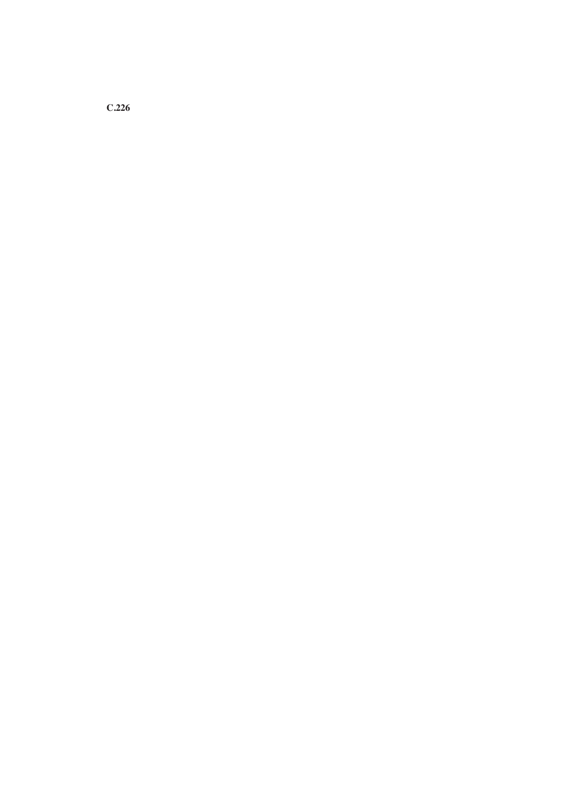**C.226**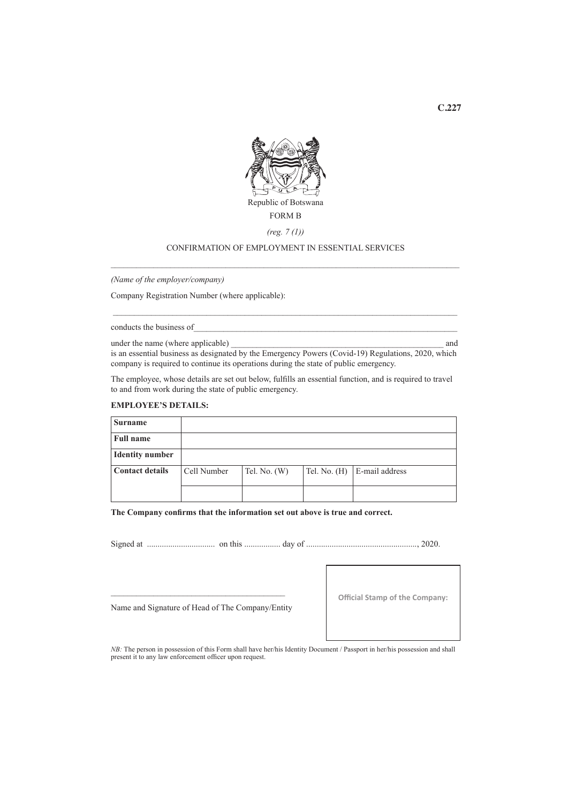

*(reg. 7 (1))*

## CONFIRMATION OF EMPLOYMENT IN ESSENTIAL SERVICES *\_\_\_\_\_\_\_\_\_\_\_\_\_\_\_\_\_\_\_\_\_\_\_\_\_\_\_\_\_\_\_\_\_\_\_\_\_\_\_\_\_\_\_\_\_\_\_\_\_\_\_\_\_\_\_\_\_\_\_\_\_\_\_\_\_\_\_\_\_\_\_\_\_\_\_\_\_\_\_\_\_\_*

*(Name of the employer/company)* 

Company Registration Number (where applicable):

conducts the business of

under the name (where applicable) \_\_\_\_\_\_\_\_\_\_\_\_\_\_\_\_\_\_\_\_\_\_\_\_\_\_\_\_\_\_\_\_\_\_\_\_\_\_\_\_\_\_\_\_\_\_\_\_\_\_ and

is an essential business as designated by the Emergency Powers (Covid-19) Regulations, 2020, which company is required to continue its operations during the state of public emergency.

 *\_\_\_\_\_\_\_\_\_\_\_\_\_\_\_\_\_\_\_\_\_\_\_\_\_\_\_\_\_\_\_\_\_\_\_\_\_\_\_\_\_\_\_\_\_\_\_\_\_\_\_\_\_\_\_\_\_\_\_\_\_\_\_\_\_\_\_\_\_\_\_\_\_\_\_\_\_\_\_\_\_*

The employee, whose details are set out below, fulfills an essential function, and is required to travel to and from work during the state of public emergency.

#### **EMPLOYEE'S DETAILS:**

| <b>Surname</b>         |             |                |              |                |
|------------------------|-------------|----------------|--------------|----------------|
| <b>Full name</b>       |             |                |              |                |
| <b>Identity</b> number |             |                |              |                |
| <b>Contact details</b> | Cell Number | Tel. No. $(W)$ | Tel. No. (H) | E-mail address |
|                        |             |                |              |                |

**The Company confirms that the information set out above is true and correct.**

Signed at ................................ on this ................. day of ...................................................., 2020.

\_\_\_\_\_\_\_\_\_\_\_\_\_\_\_\_\_\_\_\_\_\_\_\_\_\_\_\_\_\_\_\_\_\_\_\_\_\_\_\_\_ Name and Signature of Head of The Company/Entity

**Official Stamp of the Company:**

*NB:* The person in possession of this Form shall have her/his Identity Document / Passport in her/his possession and shall present it to any law enforcement officer upon request.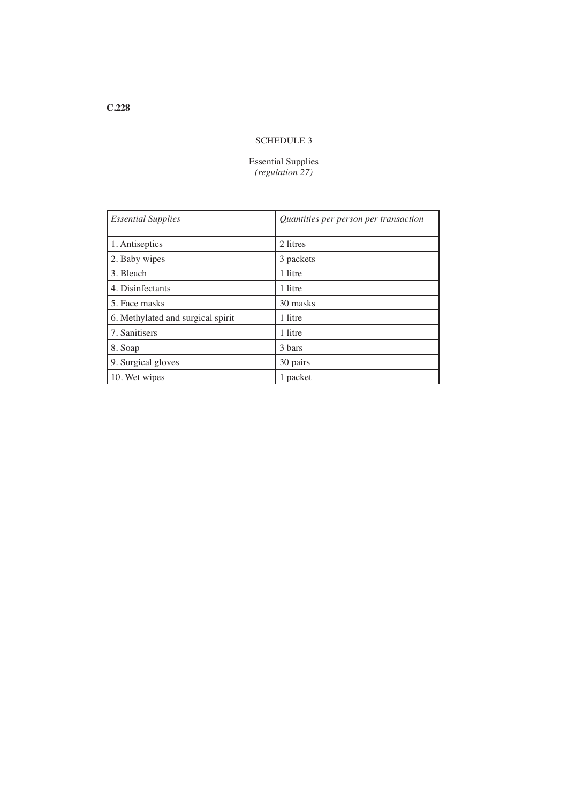## SCHEDULE 3

Essential Supplies *(regulation 27)*

| <b>Essential Supplies</b>         | Quantities per person per transaction |
|-----------------------------------|---------------------------------------|
| 1. Antiseptics                    | 2 litres                              |
| 2. Baby wipes                     | 3 packets                             |
| 3. Bleach                         | 1 litre                               |
| 4. Disinfectants                  | 1 litre                               |
| 5. Face masks                     | 30 masks                              |
| 6. Methylated and surgical spirit | 1 litre                               |
| 7. Sanitisers                     | 1 litre                               |
| 8. Soap                           | 3 bars                                |
| 9. Surgical gloves                | 30 pairs                              |
| 10. Wet wipes                     | 1 packet                              |